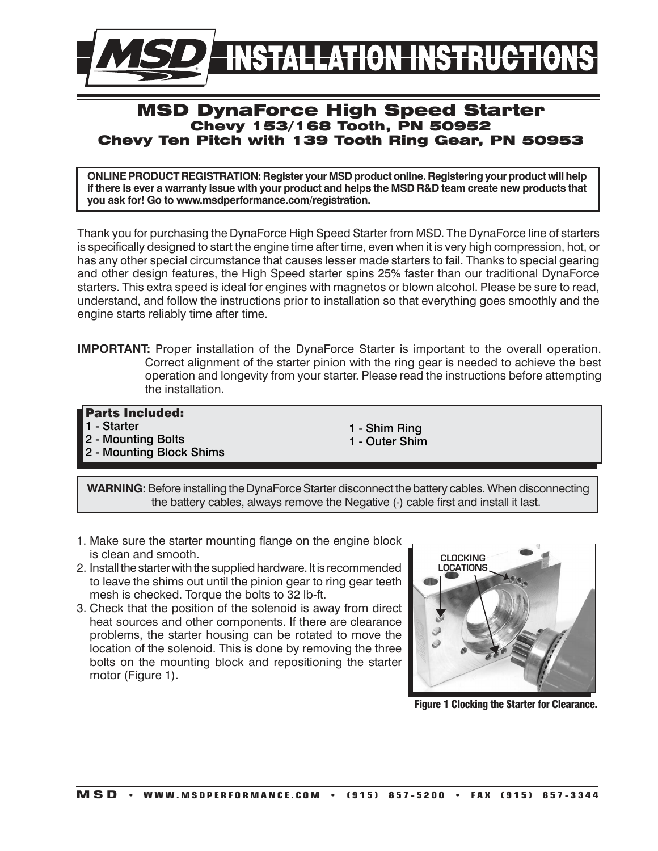

# MSD DynaForce High Speed Starter Chevy 153/168 Tooth, PN 50952 Chevy Ten Pitch with 139 Tooth Ring Gear, PN 50953

**ONLINE PRODUCT REGISTRATION: Register your MSD product online. Registering your product will help if there is ever a warranty issue with your product and helps the MSD R&D team create new products that you ask for! Go to www.msdperformance.com/registration.**

Thank you for purchasing the DynaForce High Speed Starter from MSD. The DynaForce line of starters is specifically designed to start the engine time after time, even when it is very high compression, hot, or has any other special circumstance that causes lesser made starters to fail. Thanks to special gearing and other design features, the High Speed starter spins 25% faster than our traditional DynaForce starters. This extra speed is ideal for engines with magnetos or blown alcohol. Please be sure to read, understand, and follow the instructions prior to installation so that everything goes smoothly and the engine starts reliably time after time.

**IMPORTANT:** Proper installation of the DynaForce Starter is important to the overall operation. Correct alignment of the starter pinion with the ring gear is needed to achieve the best operation and longevity from your starter. Please read the instructions before attempting the installation.

## Parts Included:

- 1 Starter
- 2 Mounting Bolts
- 2 Mounting Block Shims
- 1 Shim Ring 1 - Outer Shim
- **WARNING:** Before installing the DynaForce Starter disconnect the battery cables. When disconnecting the battery cables, always remove the Negative (-) cable first and install it last.
- 1. Make sure the starter mounting flange on the engine block is clean and smooth.
- 2. Install the starter with the supplied hardware. It is recommended to leave the shims out until the pinion gear to ring gear teeth mesh is checked. Torque the bolts to 32 lb-ft.
- 3. Check that the position of the solenoid is away from direct heat sources and other components. If there are clearance problems, the starter housing can be rotated to move the location of the solenoid. This is done by removing the three bolts on the mounting block and repositioning the starter motor (Figure 1).



Figure 1 Clocking the Starter for Clearance.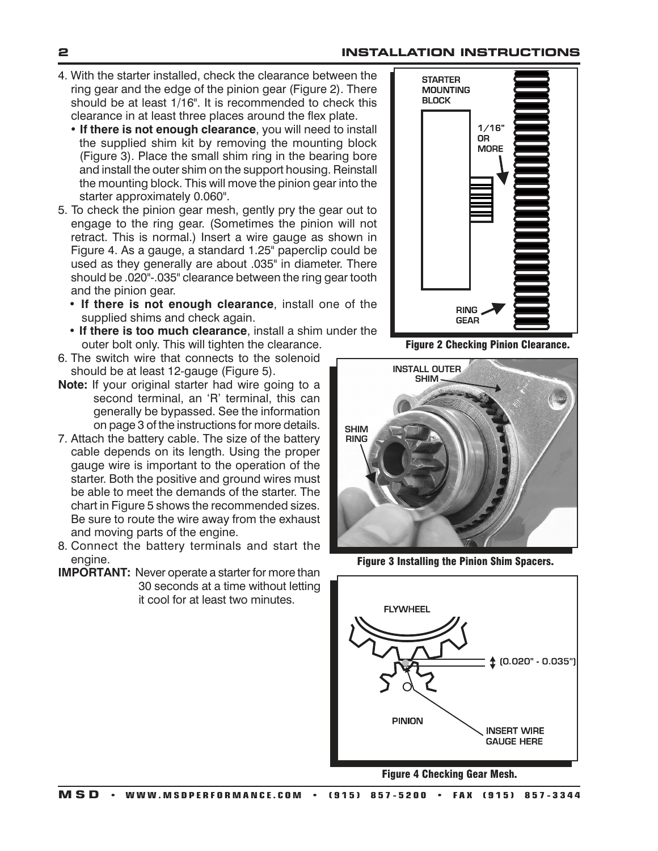#### **2 INSTALLATION INSTRUCTIONS**

- 4. With the starter installed, check the clearance between the ring gear and the edge of the pinion gear (Figure 2). There should be at least 1/16". It is recommended to check this clearance in at least three places around the flex plate.
	- **If there is not enough clearance**, you will need to install the supplied shim kit by removing the mounting block (Figure 3). Place the small shim ring in the bearing bore and install the outer shim on the support housing. Reinstall the mounting block. This will move the pinion gear into the starter approximately 0.060".
- 5. To check the pinion gear mesh, gently pry the gear out to engage to the ring gear. (Sometimes the pinion will not retract. This is normal.) Insert a wire gauge as shown in Figure 4. As a gauge, a standard 1.25" paperclip could be used as they generally are about .035" in diameter. There should be .020"-.035" clearance between the ring gear tooth and the pinion gear.
	- **If there is not enough clearance**, install one of the supplied shims and check again.
	- **If there is too much clearance**, install a shim under the outer bolt only. This will tighten the clearance.
- 6. The switch wire that connects to the solenoid should be at least 12-gauge (Figure 5).
- **Note:** If your original starter had wire going to a second terminal, an 'R' terminal, this can generally be bypassed. See the information on page 3 of the instructions for more details.
- 7. Attach the battery cable. The size of the battery cable depends on its length. Using the proper gauge wire is important to the operation of the starter. Both the positive and ground wires must be able to meet the demands of the starter. The chart in Figure 5 shows the recommended sizes. Be sure to route the wire away from the exhaust and moving parts of the engine.
- 8. Connect the battery terminals and start the engine.
- **IMPORTANT:** Never operate a starter for more than 30 seconds at a time without letting it cool for at least two minutes.



Figure 2 Checking Pinion Clearance.



Figure 3 Installing the Pinion Shim Spacers.



Figure 4 Checking Gear Mesh.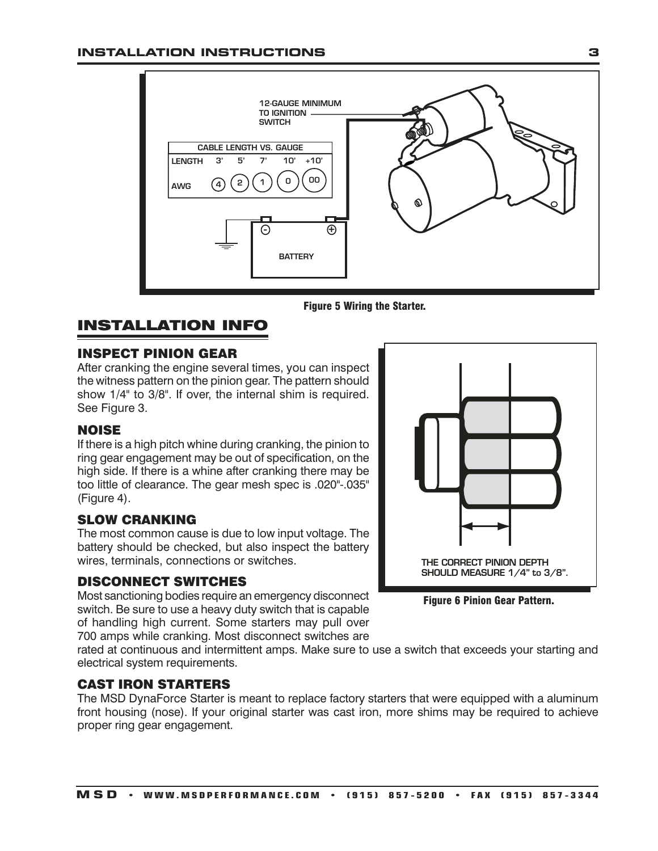



# INSTALLATION INFO

## INSPECT PINION GEAR

After cranking the engine several times, you can inspect the witness pattern on the pinion gear. The pattern should show 1/4" to 3/8". If over, the internal shim is required. See Figure 3.

## NOISE

If there is a high pitch whine during cranking, the pinion to ring gear engagement may be out of specification, on the high side. If there is a whine after cranking there may be too little of clearance. The gear mesh spec is .020"-.035" (Figure 4).

# SLOW CRANKING

The most common cause is due to low input voltage. The battery should be checked, but also inspect the battery wires, terminals, connections or switches.

#### DISCONNECT SWITCHES

Most sanctioning bodies require an emergency disconnect switch. Be sure to use a heavy duty switch that is capable of handling high current. Some starters may pull over 700 amps while cranking. Most disconnect switches are

THE CORRECT PINION DEPTH SHOULD MEASURE 1/4" to 3/8".

Figure 6 Pinion Gear Pattern.

rated at continuous and intermittent amps. Make sure to use a switch that exceeds your starting and electrical system requirements.

## CAST IRON STARTERS

The MSD DynaForce Starter is meant to replace factory starters that were equipped with a aluminum front housing (nose). If your original starter was cast iron, more shims may be required to achieve proper ring gear engagement.